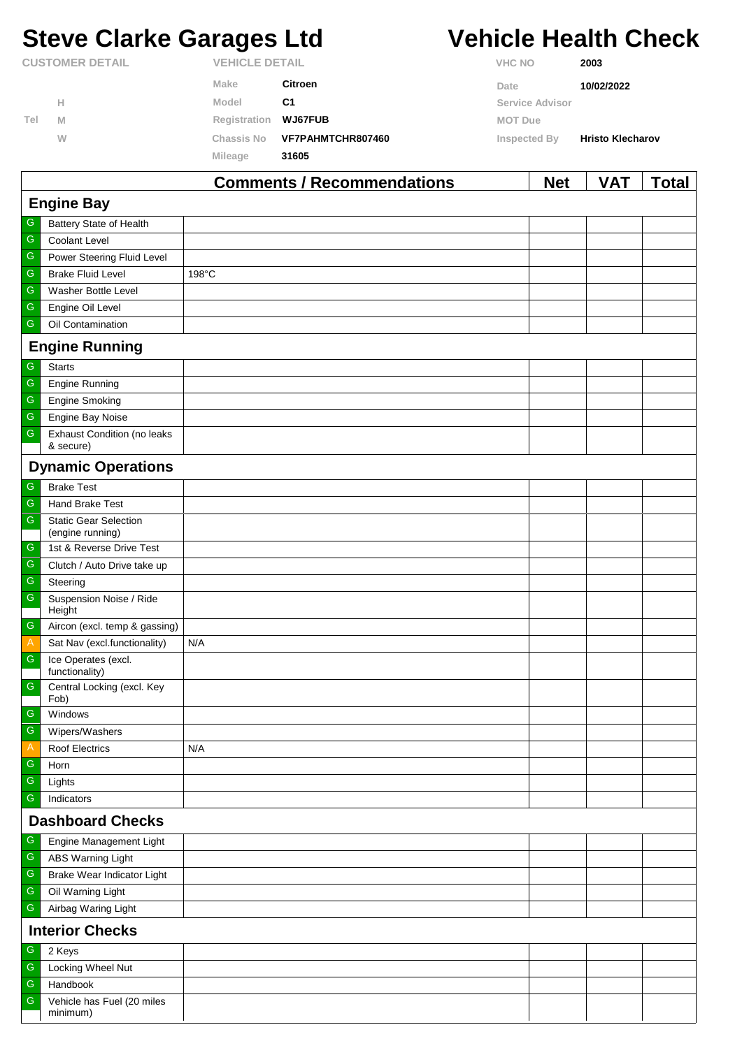# **Steve Clarke Garages Ltd Vehicle Health Check**

|                        |   |                   | Commonts / Recommondations | <b>Not</b>      | <b>VAT</b>              | Total |  |
|------------------------|---|-------------------|----------------------------|-----------------|-------------------------|-------|--|
|                        |   | Mileage           | 31605                      |                 |                         |       |  |
|                        | W | <b>Chassis No</b> | VF7PAHMTCHR807460          | Inspected By    | <b>Hristo Klecharov</b> |       |  |
| Tel                    | M | Registration      | <b>WJ67FUB</b>             | <b>MOT Due</b>  |                         |       |  |
|                        | Н | Model             | C <sub>1</sub>             | Service Advisor |                         |       |  |
|                        |   | Make              | Citroen                    | Date            | 10/02/2022              |       |  |
| <b>CUSTOMER DETAIL</b> |   |                   | <b>VEHICLE DETAIL</b>      |                 | 2003                    |       |  |

|                         |                                                  | COMMENTS / Recommendations | <b>NGL</b> | VAI | <u>i otal</u> |  |  |
|-------------------------|--------------------------------------------------|----------------------------|------------|-----|---------------|--|--|
| <b>Engine Bay</b>       |                                                  |                            |            |     |               |  |  |
| G                       | Battery State of Health                          |                            |            |     |               |  |  |
| ${\mathbb G}$           | Coolant Level                                    |                            |            |     |               |  |  |
| G                       | Power Steering Fluid Level                       |                            |            |     |               |  |  |
| ${\mathbb G}$           | <b>Brake Fluid Level</b>                         | 198°C                      |            |     |               |  |  |
| ${\mathbb G}$           | Washer Bottle Level                              |                            |            |     |               |  |  |
| ${\mathbb G}$           | Engine Oil Level                                 |                            |            |     |               |  |  |
| G                       | Oil Contamination                                |                            |            |     |               |  |  |
|                         | <b>Engine Running</b>                            |                            |            |     |               |  |  |
| ${\mathsf G}$           | <b>Starts</b>                                    |                            |            |     |               |  |  |
| ${\mathbb G}$           | <b>Engine Running</b>                            |                            |            |     |               |  |  |
| ${\mathbb G}$           | <b>Engine Smoking</b>                            |                            |            |     |               |  |  |
| ${\mathbb G}$           | Engine Bay Noise                                 |                            |            |     |               |  |  |
| ${\mathbb G}$           | <b>Exhaust Condition (no leaks</b><br>& secure)  |                            |            |     |               |  |  |
|                         | <b>Dynamic Operations</b>                        |                            |            |     |               |  |  |
| ${\mathsf G}$           | <b>Brake Test</b>                                |                            |            |     |               |  |  |
| ${\mathbb G}$           | Hand Brake Test                                  |                            |            |     |               |  |  |
| ${\mathsf G}$           | <b>Static Gear Selection</b><br>(engine running) |                            |            |     |               |  |  |
| G                       | 1st & Reverse Drive Test                         |                            |            |     |               |  |  |
| ${\mathbb G}$           | Clutch / Auto Drive take up                      |                            |            |     |               |  |  |
| G                       | Steering                                         |                            |            |     |               |  |  |
| $\mathsf G$             | Suspension Noise / Ride                          |                            |            |     |               |  |  |
| ${\mathsf G}$           | Height<br>Aircon (excl. temp & gassing)          |                            |            |     |               |  |  |
| $\mathsf{A}$            | Sat Nav (excl.functionality)                     | N/A                        |            |     |               |  |  |
| ${\mathsf G}$           | Ice Operates (excl.<br>functionality)            |                            |            |     |               |  |  |
| $\mathsf G$             | Central Locking (excl. Key<br>Fob)               |                            |            |     |               |  |  |
| G                       | Windows                                          |                            |            |     |               |  |  |
| ${\mathbb G}$           | Wipers/Washers                                   |                            |            |     |               |  |  |
| Α                       | <b>Roof Electrics</b>                            | N/A                        |            |     |               |  |  |
| G                       | Horn                                             |                            |            |     |               |  |  |
| ${\mathbb G}$           | Lights                                           |                            |            |     |               |  |  |
| G                       | Indicators                                       |                            |            |     |               |  |  |
| <b>Dashboard Checks</b> |                                                  |                            |            |     |               |  |  |
| G                       | Engine Management Light                          |                            |            |     |               |  |  |
| G                       | <b>ABS Warning Light</b>                         |                            |            |     |               |  |  |
| ${\mathbb G}$           | Brake Wear Indicator Light                       |                            |            |     |               |  |  |
| G                       | Oil Warning Light                                |                            |            |     |               |  |  |
| ${\mathbb G}$           | Airbag Waring Light                              |                            |            |     |               |  |  |
| <b>Interior Checks</b>  |                                                  |                            |            |     |               |  |  |
| G                       | 2 Keys                                           |                            |            |     |               |  |  |
| ${\mathbb G}$           | Locking Wheel Nut                                |                            |            |     |               |  |  |
| G                       | Handbook                                         |                            |            |     |               |  |  |
| ${\mathsf G}$           | Vehicle has Fuel (20 miles<br>minimum)           |                            |            |     |               |  |  |